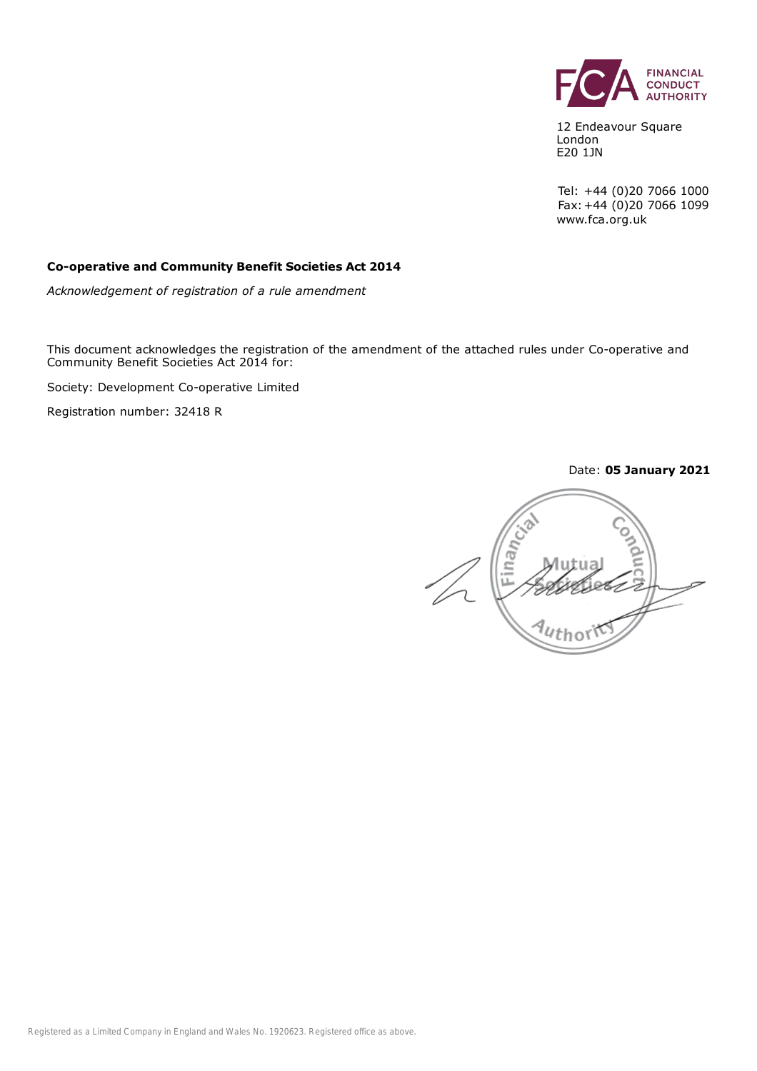

12 Endeavour Square London E20 1JN

Tel: +44 (0)20 7066 1000 Fax:+44 (0)20 7066 1099 www.fca.org.uk

#### **Co-operative and Community Benefit Societies Act 2014**

*Acknowledgement of registration of a rule amendment*

This document acknowledges the registration of the amendment of the attached rules under Co-operative and Community Benefit Societies Act 2014 for:

Society: Development Co-operative Limited

Registration number: 32418 R

Date: **05 January 2021**

Finan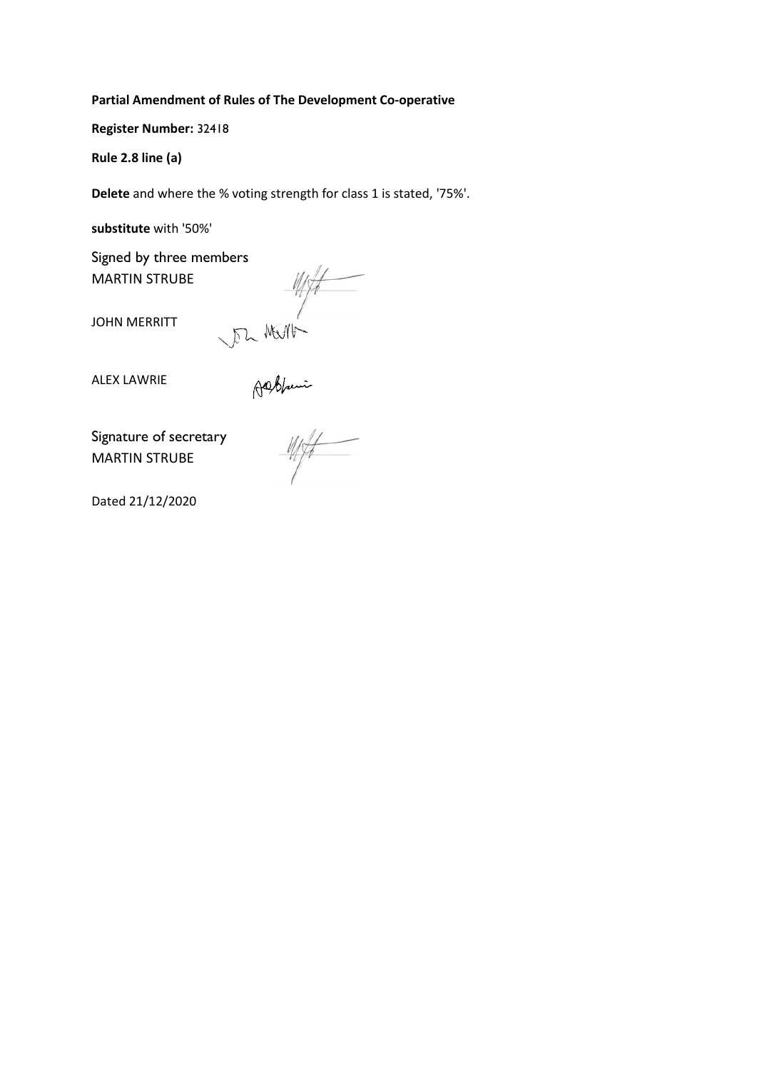#### **Partial Amendment of Rules of The Development Co-operative**

**Register Number:** 32418

**Rule 2.8 line (a)**

**Delete** and where the % voting strength for class 1 is stated, '75%'.

**substitute** with '50%'

MARTIN STRUBE

Signed by three members<br>
MARTIN STRUBE<br>
JOHN MERRITT<br>
ALEX LAWRIE<br>
ALEX LAWRIE<br>
Signature of secretary<br>
MARTIN STRUBE

JOHN MERRITT

ALEX LAWRIE

Signature of secretary MARTIN STRUBE

Dated 21/12/2020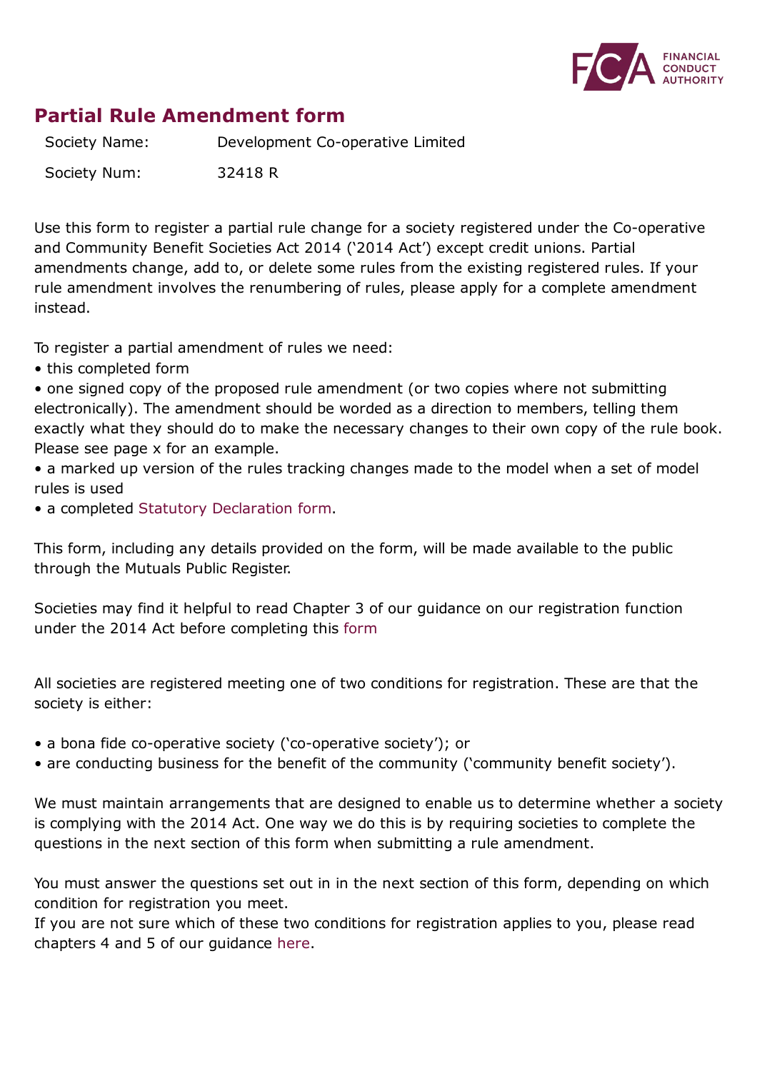

## **Partial Rule Amendment form**

Society Name: Development Co-operative Limited

Society Num: 32418 R

Use this form to register a partial rule change for a society registered under the Co-operative and Community Benefit Societies Act 2014 ('2014 Act') except credit unions. Partial amendments change, add to, or delete some rules from the existing registered rules. If your rule amendment involves the renumbering of rules, please apply for a complete amendment instead.

To register a partial amendment of rules we need:

• this completed form

• one signed copy of the proposed rule amendment (or two copies where not submitting electronically). The amendment should be worded as a direction to members, telling them exactly what they should do to make the necessary changes to their own copy of the rule book. Please see page x for an example.

• a marked up version of the rules tracking changes made to the model when a set of model rules is used

• a completed Statutory [Declaration](https://www.fca.org.uk/publication/forms/mutuals-statutory-declaration-form.pdf) form.

This form, including any details provided on the form, will be made available to the public through the Mutuals Public Register.

Societies may find it helpful to read Chapter 3 of our guidance on our registration function under the 2014 Act before completing this [form](https://www.fca.org.uk/publication/finalised-guidance/fg15-12.pdf)

All societies are registered meeting one of two conditions for registration. These are that the society is either:

- a bona fide co-operative society ('co-operative society'); or
- are conducting business for the benefit of the community ('community benefit society').

We must maintain arrangements that are designed to enable us to determine whether a society is complying with the 2014 Act. One way we do this is by requiring societies to complete the questions in the next section of this form when submitting a rule amendment.

You must answer the questions set out in in the next section of this form, depending on which condition for registration you meet.

If you are not sure which of these two conditions for registration applies to you, please read chapters 4 and 5 of our guidance [here.](https://www.fca.org.uk/publication/finalised-guidance/fg15-12.pdf)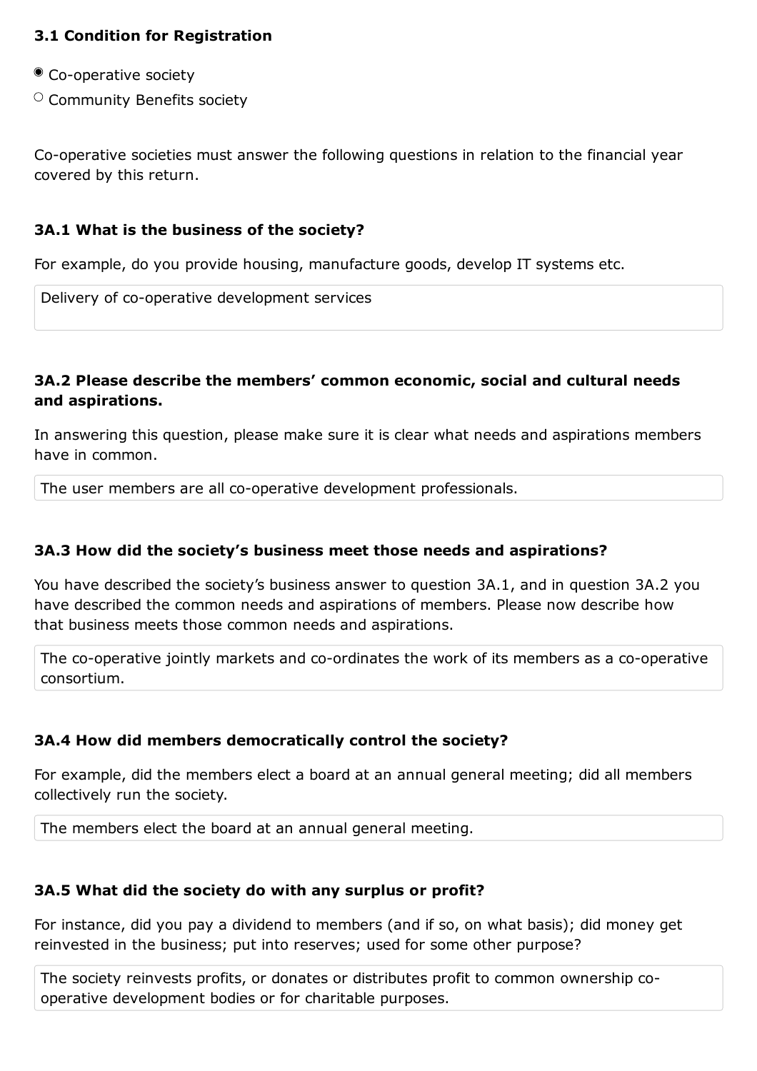#### **3.1 Condition for Registration**

- Co-operative society
- $\circ$  Community Benefits society

Co-operative societies must answer the following questions in relation to the financial year covered by this return.

#### **3A.1 What is the business of the society?**

For example, do you provide housing, manufacture goods, develop IT systems etc.

Delivery of co-operative development services

#### **3A.2 Please describe the members' common economic, social and cultural needs and aspirations.**

In answering this question, please make sure it is clear what needs and aspirations members have in common.

The user members are all co-operative development professionals.

#### **3A.3 How did the society's business meet those needs and aspirations?**

You have described the society's business answer to question 3A.1, and in question 3A.2 you have described the common needs and aspirations of members. Please now describe how that business meets those common needs and aspirations.

The co-operative jointly markets and co-ordinates the work of its members as a co-operative consortium.

### **3A.4 How did members democratically control the society?**

For example, did the members elect a board at an annual general meeting; did all members collectively run the society.

The members elect the board at an annual general meeting.

### **3A.5 What did the society do with any surplus or profit?**

For instance, did you pay a dividend to members (and if so, on what basis); did money get reinvested in the business; put into reserves; used for some other purpose?

The society reinvests profits, or donates or distributes profit to common ownership cooperative development bodies or for charitable purposes.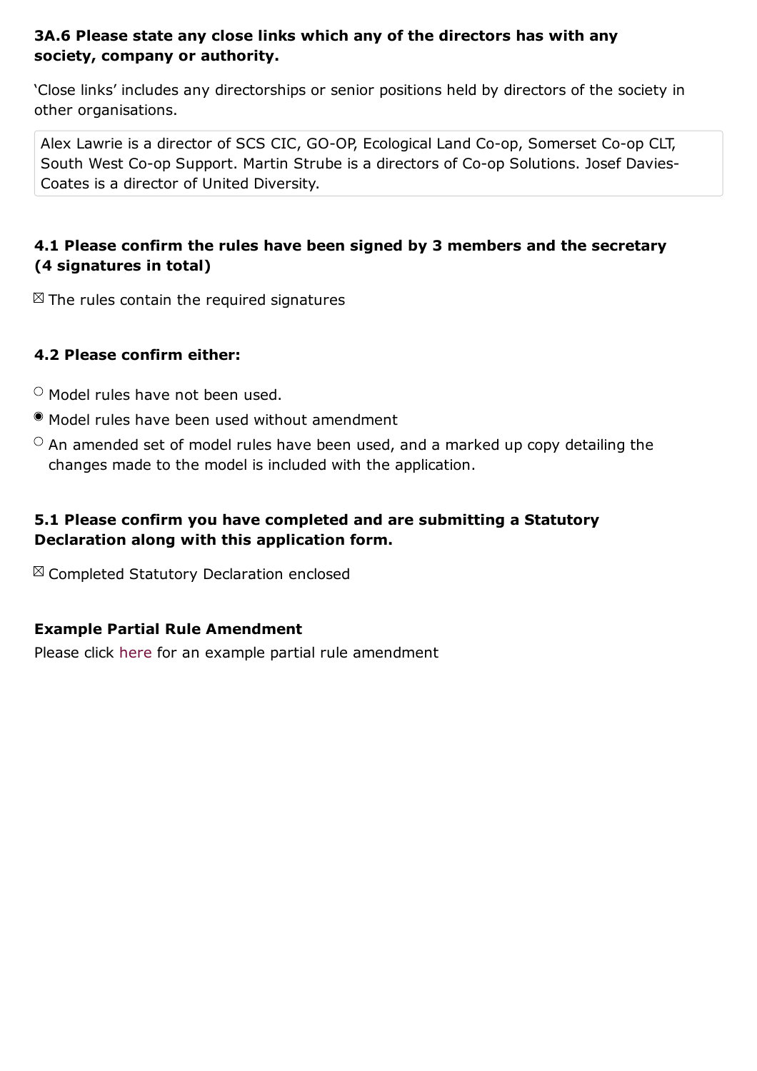#### **3A.6 Please state any close links which any of the directors has with any society, company or authority.**

'Close links' includes any directorships or senior positions held by directors of the society in other organisations.

Alex Lawrie is a director of SCS CIC, GO-OP, Ecological Land Co-op, Somerset Co-op CLT, South West Co-op Support. Martin Strube is a directors of Co-op Solutions. Josef Davies-Coates is a director of United Diversity.

## **4.1 Please confirm the rules have been signed by 3 members and the secretary (4 signatures in total)**

 $\boxtimes$  The rules contain the required signatures

### **4.2 Please confirm either:**

 $\circ$  Model rules have not been used.

- Model rules have been used without amendment
- $\circ$  An amended set of model rules have been used, and a marked up copy detailing the changes made to the model is included with the application.

### **5.1 Please confirm you have completed and are submitting a Statutory Declaration along with this application form.**

 $\boxtimes$  Completed Statutory Declaration enclosed

### **Example Partial Rule Amendment**

Please click [here](https://www.fca.org.uk/publication/forms/mutuals-partial-amendment-example.pdf) for an example partial rule amendment